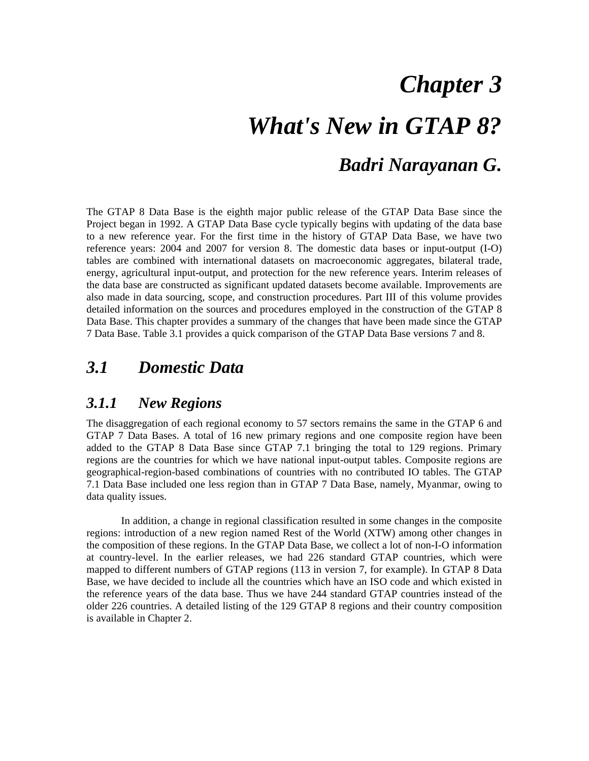# *Chapter 3*

# *What's New in GTAP 8? Badri Narayanan G.*

The GTAP 8 Data Base is the eighth major public release of the GTAP Data Base since the Project began in 1992. A GTAP Data Base cycle typically begins with updating of the data base to a new reference year. For the first time in the history of GTAP Data Base, we have two reference years: 2004 and 2007 for version 8. The domestic data bases or input-output (I-O) tables are combined with international datasets on macroeconomic aggregates, bilateral trade, energy, agricultural input-output, and protection for the new reference years. Interim releases of the data base are constructed as significant updated datasets become available. Improvements are also made in data sourcing, scope, and construction procedures. Part III of this volume provides detailed information on the sources and procedures employed in the construction of the GTAP 8 Data Base. This chapter provides a summary of the changes that have been made since the GTAP 7 Data Base. Table 3.1 provides a quick comparison of the GTAP Data Base versions 7 and 8.

# *3.1 Domestic Data*

## *3.1.1 New Regions*

The disaggregation of each regional economy to 57 sectors remains the same in the GTAP 6 and GTAP 7 Data Bases. A total of 16 new primary regions and one composite region have been added to the GTAP 8 Data Base since GTAP 7.1 bringing the total to 129 regions. Primary regions are the countries for which we have national input-output tables. Composite regions are geographical-region-based combinations of countries with no contributed IO tables. The GTAP 7.1 Data Base included one less region than in GTAP 7 Data Base, namely, Myanmar, owing to data quality issues.

In addition, a change in regional classification resulted in some changes in the composite regions: introduction of a new region named Rest of the World (XTW) among other changes in the composition of these regions. In the GTAP Data Base, we collect a lot of non-I-O information at country-level. In the earlier releases, we had 226 standard GTAP countries, which were mapped to different numbers of GTAP regions (113 in version 7, for example). In GTAP 8 Data Base, we have decided to include all the countries which have an ISO code and which existed in the reference years of the data base. Thus we have 244 standard GTAP countries instead of the older 226 countries. A detailed listing of the 129 GTAP 8 regions and their country composition is available in Chapter 2.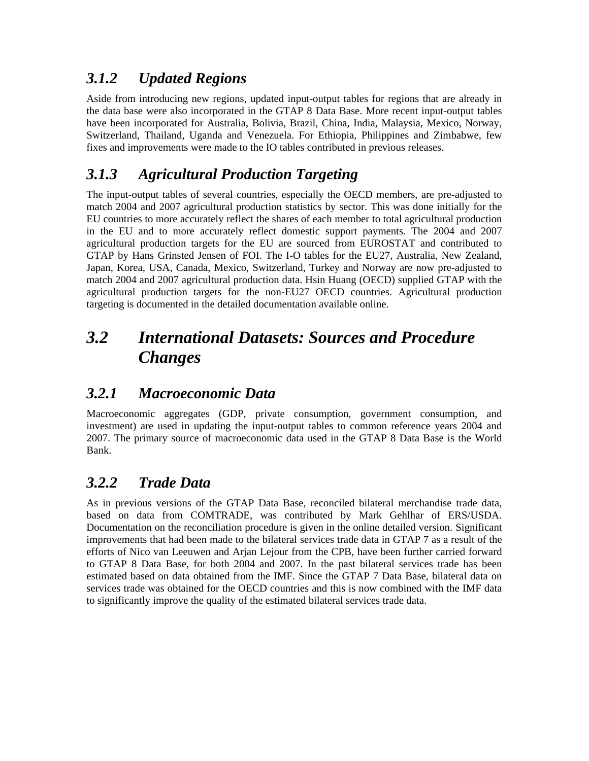# *3.1.2 Updated Regions*

Aside from introducing new regions, updated input-output tables for regions that are already in the data base were also incorporated in the GTAP 8 Data Base. More recent input-output tables have been incorporated for Australia, Bolivia, Brazil, China, India, Malaysia, Mexico, Norway, Switzerland, Thailand, Uganda and Venezuela. For Ethiopia, Philippines and Zimbabwe, few fixes and improvements were made to the IO tables contributed in previous releases.

# *3.1.3 Agricultural Production Targeting*

The input-output tables of several countries, especially the OECD members, are pre-adjusted to match 2004 and 2007 agricultural production statistics by sector. This was done initially for the EU countries to more accurately reflect the shares of each member to total agricultural production in the EU and to more accurately reflect domestic support payments. The 2004 and 2007 agricultural production targets for the EU are sourced from EUROSTAT and contributed to GTAP by Hans Grinsted Jensen of FOI. The I-O tables for the EU27, Australia, New Zealand, Japan, Korea, USA, Canada, Mexico, Switzerland, Turkey and Norway are now pre-adjusted to match 2004 and 2007 agricultural production data. Hsin Huang (OECD) supplied GTAP with the agricultural production targets for the non-EU27 OECD countries. Agricultural production targeting is documented in the detailed documentation available online.

# *3.2 International Datasets: Sources and Procedure Changes*

# *3.2.1 Macroeconomic Data*

Macroeconomic aggregates (GDP, private consumption, government consumption, and investment) are used in updating the input-output tables to common reference years 2004 and 2007. The primary source of macroeconomic data used in the GTAP 8 Data Base is the World Bank.

# *3.2.2 Trade Data*

As in previous versions of the GTAP Data Base, reconciled bilateral merchandise trade data, based on data from COMTRADE, was contributed by Mark Gehlhar of ERS/USDA. Documentation on the reconciliation procedure is given in the online detailed version. Significant improvements that had been made to the bilateral services trade data in GTAP 7 as a result of the efforts of Nico van Leeuwen and Arjan Lejour from the CPB, have been further carried forward to GTAP 8 Data Base, for both 2004 and 2007. In the past bilateral services trade has been estimated based on data obtained from the IMF. Since the GTAP 7 Data Base, bilateral data on services trade was obtained for the OECD countries and this is now combined with the IMF data to significantly improve the quality of the estimated bilateral services trade data.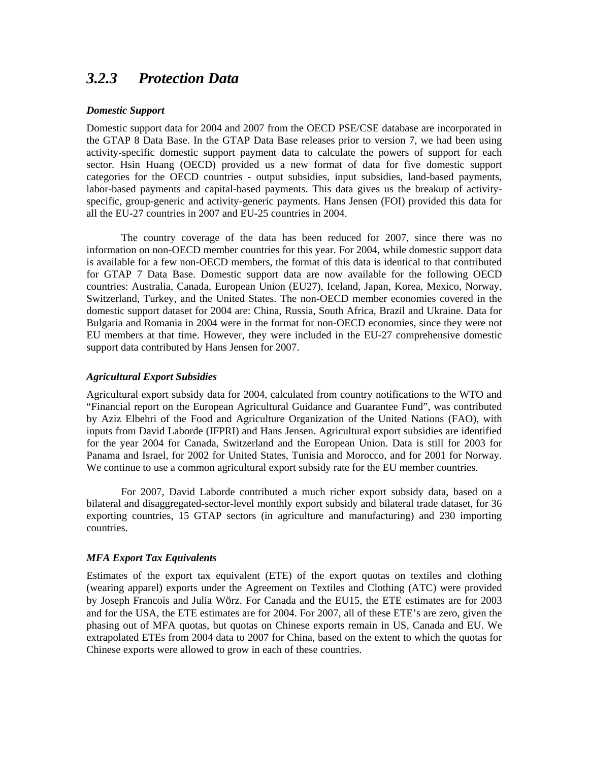## *3.2.3 Protection Data*

#### *Domestic Support*

Domestic support data for 2004 and 2007 from the OECD PSE/CSE database are incorporated in the GTAP 8 Data Base. In the GTAP Data Base releases prior to version 7, we had been using activity-specific domestic support payment data to calculate the powers of support for each sector. Hsin Huang (OECD) provided us a new format of data for five domestic support categories for the OECD countries - output subsidies, input subsidies, land-based payments, labor-based payments and capital-based payments. This data gives us the breakup of activityspecific, group-generic and activity-generic payments. Hans Jensen (FOI) provided this data for all the EU-27 countries in 2007 and EU-25 countries in 2004.

The country coverage of the data has been reduced for 2007, since there was no information on non-OECD member countries for this year. For 2004, while domestic support data is available for a few non-OECD members, the format of this data is identical to that contributed for GTAP 7 Data Base. Domestic support data are now available for the following OECD countries: Australia, Canada, European Union (EU27), Iceland, Japan, Korea, Mexico, Norway, Switzerland, Turkey, and the United States. The non-OECD member economies covered in the domestic support dataset for 2004 are: China, Russia, South Africa, Brazil and Ukraine. Data for Bulgaria and Romania in 2004 were in the format for non-OECD economies, since they were not EU members at that time. However, they were included in the EU-27 comprehensive domestic support data contributed by Hans Jensen for 2007.

#### *Agricultural Export Subsidies*

Agricultural export subsidy data for 2004, calculated from country notifications to the WTO and "Financial report on the European Agricultural Guidance and Guarantee Fund", was contributed by Aziz Elbehri of the Food and Agriculture Organization of the United Nations (FAO), with inputs from David Laborde (IFPRI) and Hans Jensen. Agricultural export subsidies are identified for the year 2004 for Canada, Switzerland and the European Union. Data is still for 2003 for Panama and Israel, for 2002 for United States, Tunisia and Morocco, and for 2001 for Norway. We continue to use a common agricultural export subsidy rate for the EU member countries.

For 2007, David Laborde contributed a much richer export subsidy data, based on a bilateral and disaggregated-sector-level monthly export subsidy and bilateral trade dataset, for 36 exporting countries, 15 GTAP sectors (in agriculture and manufacturing) and 230 importing countries.

#### *MFA Export Tax Equivalents*

Estimates of the export tax equivalent (ETE) of the export quotas on textiles and clothing (wearing apparel) exports under the Agreement on Textiles and Clothing (ATC) were provided by Joseph Francois and Julia Wörz. For Canada and the EU15, the ETE estimates are for 2003 and for the USA, the ETE estimates are for 2004. For 2007, all of these ETE's are zero, given the phasing out of MFA quotas, but quotas on Chinese exports remain in US, Canada and EU. We extrapolated ETEs from 2004 data to 2007 for China, based on the extent to which the quotas for Chinese exports were allowed to grow in each of these countries.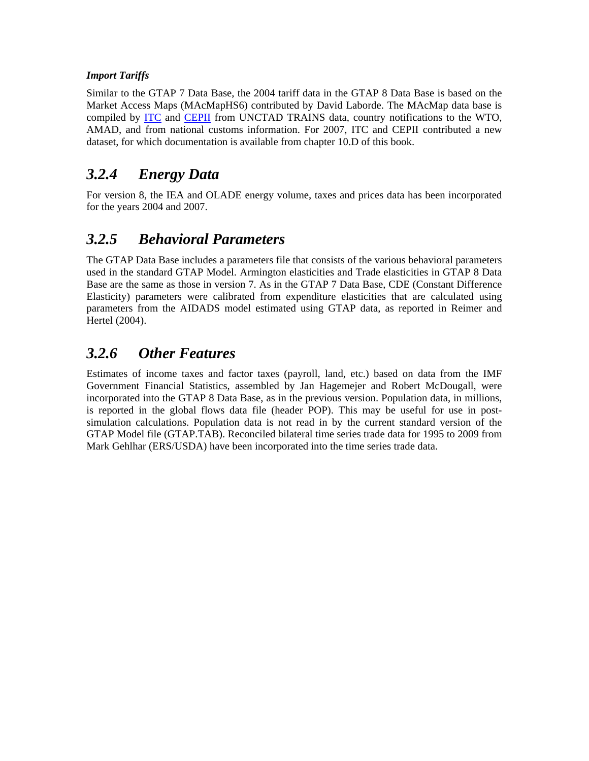### *Import Tariffs*

Similar to the GTAP 7 Data Base, the 2004 tariff data in the GTAP 8 Data Base is based on the Market Access Maps (MAcMapHS6) contributed by David Laborde. The MAcMap data base is compiled by ITC and CEPII from UNCTAD TRAINS data, country notifications to the WTO, AMAD, and from national customs information. For 2007, ITC and CEPII contributed a new dataset, for which documentation is available from chapter 10.D of this book.

## *3.2.4 Energy Data*

For version 8, the IEA and OLADE energy volume, taxes and prices data has been incorporated for the years 2004 and 2007.

# *3.2.5 Behavioral Parameters*

The GTAP Data Base includes a parameters file that consists of the various behavioral parameters used in the standard GTAP Model. Armington elasticities and Trade elasticities in GTAP 8 Data Base are the same as those in version 7. As in the GTAP 7 Data Base, CDE (Constant Difference Elasticity) parameters were calibrated from expenditure elasticities that are calculated using parameters from the AIDADS model estimated using GTAP data, as reported in Reimer and Hertel (2004).

## *3.2.6 Other Features*

Estimates of income taxes and factor taxes (payroll, land, etc.) based on data from the IMF Government Financial Statistics, assembled by Jan Hagemejer and Robert McDougall, were incorporated into the GTAP 8 Data Base, as in the previous version. Population data, in millions, is reported in the global flows data file (header POP). This may be useful for use in postsimulation calculations. Population data is not read in by the current standard version of the GTAP Model file (GTAP.TAB). Reconciled bilateral time series trade data for 1995 to 2009 from Mark Gehlhar (ERS/USDA) have been incorporated into the time series trade data.